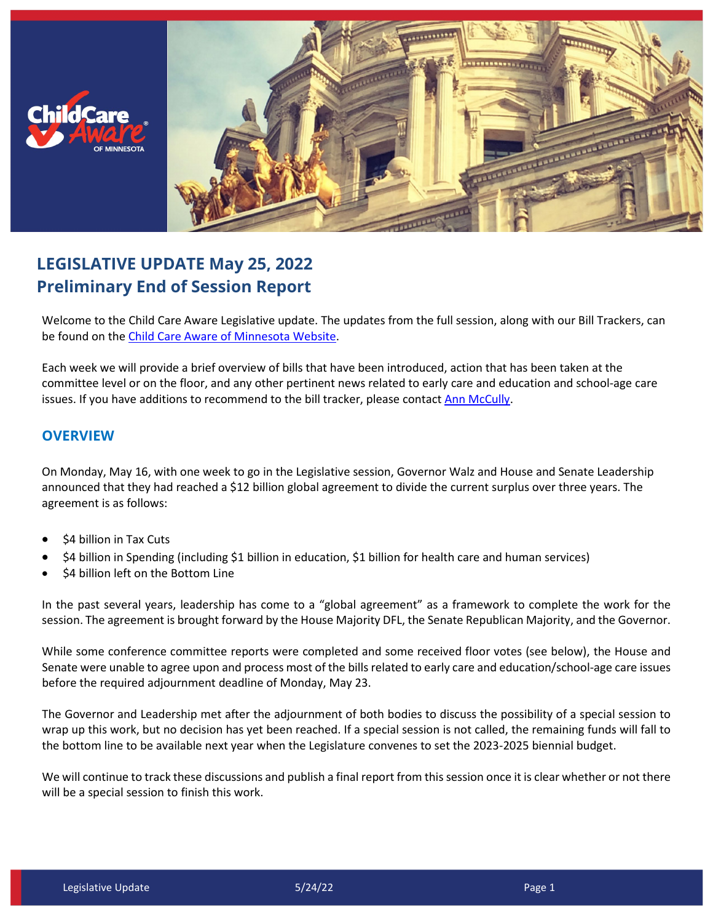



## **LEGISLATIVE UPDATE May 25, 2022 Preliminary End of Session Report**

Welcome to the Child Care Aware Legislative update. The updates from the full session, along with our Bill Trackers, can be found on the [Child Care Aware of Minnesota Website.](http://childcareawaremn.org/bill-tracker-2018)

Each week we will provide a brief overview of bills that have been introduced, action that has been taken at the committee level or on the floor, and any other pertinent news related to early care and education and school-age care issues. If you have additions to recommend to the bill tracker, please contact [Ann McCully.](mailto:annm@childcareawaremn.org)

## **OVERVIEW**

On Monday, May 16, with one week to go in the Legislative session, Governor Walz and House and Senate Leadership announced that they had reached a \$12 billion global agreement to divide the current surplus over three years. The agreement is as follows:

- \$4 billion in Tax Cuts
- \$4 billion in Spending (including \$1 billion in education, \$1 billion for health care and human services)
- \$4 billion left on the Bottom Line

In the past several years, leadership has come to a "global agreement" as a framework to complete the work for the session. The agreement is brought forward by the House Majority DFL, the Senate Republican Majority, and the Governor.

While some conference committee reports were completed and some received floor votes (see below), the House and Senate were unable to agree upon and process most of the bills related to early care and education/school-age care issues before the required adjournment deadline of Monday, May 23.

The Governor and Leadership met after the adjournment of both bodies to discuss the possibility of a special session to wrap up this work, but no decision has yet been reached. If a special session is not called, the remaining funds will fall to the bottom line to be available next year when the Legislature convenes to set the 2023-2025 biennial budget.

We will continue to track these discussions and publish a final report from this session once it is clear whether or not there will be a special session to finish this work.